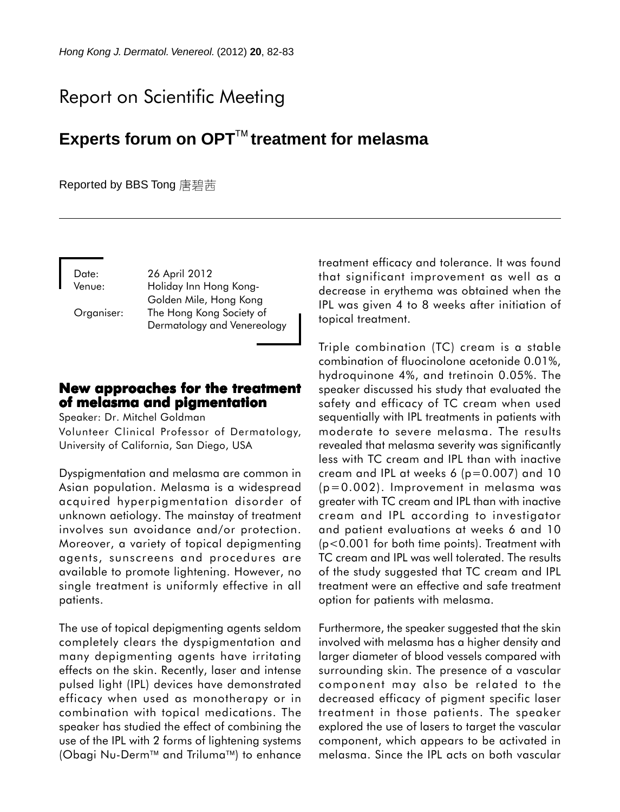# Report on Scientific Meeting

# **Experts forum on OPTtreatment for melasma**

#### Reported by BBS Tong 唐碧茜

Date: 26 April 2012

Venue: Holiday Inn Hong Kong-Golden Mile, Hong Kong Organiser: The Hong Kong Society of Dermatology and Venereology

## **New approaches for the treatment New approaches the of melasma and pigmentation**

Speaker: Dr. Mitchel Goldman

Volunteer Clinical Professor of Dermatology, University of California, San Diego, USA

Dyspigmentation and melasma are common in Asian population. Melasma is a widespread acquired hyperpigmentation disorder of unknown aetiology. The mainstay of treatment involves sun avoidance and/or protection. Moreover, a variety of topical depigmenting agents, sunscreens and procedures are available to promote lightening. However, no single treatment is uniformly effective in all patients.

The use of topical depigmenting agents seldom completely clears the dyspigmentation and many depigmenting agents have irritating effects on the skin. Recently, laser and intense pulsed light (IPL) devices have demonstrated efficacy when used as monotherapy or in combination with topical medications. The speaker has studied the effect of combining the use of the IPL with 2 forms of lightening systems (Obagi Nu-Derm<sup>™</sup> and Triluma<sup>™</sup>) to enhance treatment efficacy and tolerance. It was found that significant improvement as well as a decrease in erythema was obtained when the IPL was given 4 to 8 weeks after initiation of topical treatment.

Triple combination (TC) cream is a stable combination of fluocinolone acetonide 0.01%, hydroquinone 4%, and tretinoin 0.05%. The speaker discussed his study that evaluated the safety and efficacy of TC cream when used sequentially with IPL treatments in patients with moderate to severe melasma. The results revealed that melasma severity was significantly less with TC cream and IPL than with inactive cream and IPL at weeks 6 (p=0.007) and 10 (p=0.002). Improvement in melasma was greater with TC cream and IPL than with inactive cream and IPL according to investigator and patient evaluations at weeks 6 and 10 (p<0.001 for both time points). Treatment with TC cream and IPL was well tolerated. The results of the study suggested that TC cream and IPL treatment were an effective and safe treatment option for patients with melasma.

Furthermore, the speaker suggested that the skin involved with melasma has a higher density and larger diameter of blood vessels compared with surrounding skin. The presence of a vascular component may also be related to the decreased efficacy of pigment specific laser treatment in those patients. The speaker explored the use of lasers to target the vascular component, which appears to be activated in melasma. Since the IPL acts on both vascular